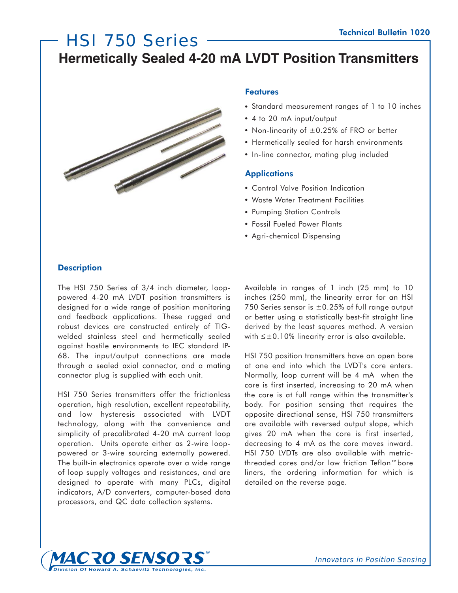# HSI 750 Series **Hermetically Sealed 4-20 mA LVDT Position Transmitters**



## **Features**

- Standard measurement ranges of 1 to 10 inches
- 4 to 20 mA input/output
- Non-linearity of  $\pm 0.25$ % of FRO or better
- Hermetically sealed for harsh environments
- In-line connector, mating plug included

### **Applications**

- Control Valve Position Indication
- Waste Water Treatment Facilities
- Pumping Station Controls
- Fossil Fueled Power Plants
- Agri-chemical Dispensing

# **Description**

The HSI 750 Series of 3/4 inch diameter, looppowered 4-20 mA LVDT position transmitters is designed for a wide range of position monitoring and feedback applications. These rugged and robust devices are constructed entirely of TIGwelded stainless steel and hermetically sealed against hostile environments to IEC standard IP-68. The input/output connections are made through a sealed axial connector, and a mating connector plug is supplied with each unit.

HSI 750 Series transmitters offer the frictionless operation, high resolution, excellent repeatability, and low hysteresis associated with LVDT technology, along with the convenience and simplicity of precalibrated 4-20 mA current loop operation. Units operate either as 2-wire looppowered or 3-wire sourcing externally powered. The built-in electronics operate over a wide range of loop supply voltages and resistances, and are designed to operate with many PLCs, digital indicators, A/D converters, computer-based data processors, and QC data collection systems.

Available in ranges of 1 inch (25 mm) to 10 inches (250 mm), the linearity error for an HSI 750 Series sensor is  $\pm 0.25\%$  of full range output or better using a statistically best-fit straight line derived by the least squares method. A version with  $\leq \pm 0.10\%$  linearity error is also available.

HSI 750 position transmitters have an open bore at one end into which the LVDT's core enters. Normally, loop current will be 4 mA when the core is first inserted, increasing to 20 mA when the core is at full range within the transmitter's body. For position sensing that requires the opposite directional sense, HSI 750 transmitters are available with reversed output slope, which gives 20 mA when the core is first inserted, decreasing to 4 mA as the core moves inward. HSI 750 LVDTs are also available with metricthreaded cores and/or low friction Teflon™bore liners, the ordering information for which is detailed on the reverse page.